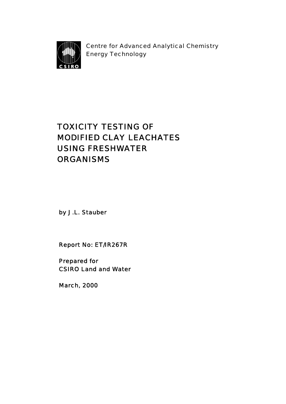

Centre for Advanced Analytical Chemistry Energy Technology

# TOXICITY TESTING OF MODIFIED CLAY LEACHATES USING FRESHWATER **ORGANISMS**

by J.L. Stauber

Report No: ET/IR267R

Prepared for CSIRO Land and Water

March, 2000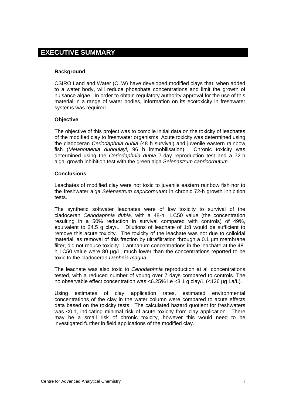# <span id="page-1-0"></span>**EXECUTIVE SUMMARY**

#### **Background**

CSIRO Land and Water (CLW) have developed modified clays that, when added to a water body, will reduce phosphate concentrations and limit the growth of nuisance algae. In order to obtain regulatory authority approval for the use of this material in a range of water bodies, information on its ecotoxicity in freshwater systems was required.

#### **Objective**

The objective of this project was to compile initial data on the toxicity of leachates of the modified clay to freshwater organisms. Acute toxicity was determined using the cladoceran *Ceriodaphnia dubia* (48 h survival) and juvenile eastern rainbow fish (*Melanotaenia duboulayi*, 96 h immobilisation). Chronic toxicity was determined using the *Ceriodaphnia dubia* 7-day reproduction test and a 72-h algal growth inhibition test with the green alga *Selenastrum capricornutum*.

#### **Conclusions**

Leachates of modified clay were not toxic to juvenile eastern rainbow fish nor to the freshwater alga *Selenastrum capricornutum* in chronic 72-h growth inhibition tests.

The synthetic softwater leachates were of low toxicity to survival of the cladoceran *Ceriodaphnia dubia,* with a 48-h LC50 value (the concentration resulting in a 50% reduction in survival compared with controls) of 49%, equivalent to 24.5 g clay/L. Dilutions of leachate of 1:8 would be sufficient to remove this acute toxicity. The toxicity of the leachate was not due to colloidal material, as removal of this fraction by ultrafiltration through a 0.1 µm membrane filter, did not reduce toxicity. Lanthanum concentrations in the leachate at the 48 h LC50 value were 80 µg/L, much lower than the concentrations reported to be toxic to the cladoceran *Daphnia magna.* 

The leachate was also toxic to *Ceriodaphnia* reproduction at all concentrations tested, with a reduced number of young over 7 days compared to controls. The no observable effect concentration was <6.25% i.e <3.1 g clay/L (<126 µg La/L).

Using estimates of clay application rates, estimated environmental concentrations of the clay in the water column were compared to acute effects data based on the toxicity tests. The calculated hazard quotient for freshwaters was <0.1, indicating minimal risk of acute toxicity from clay application. There may be a small risk of chronic toxicity, however this would need to be investigated further in field applications of the modified clay.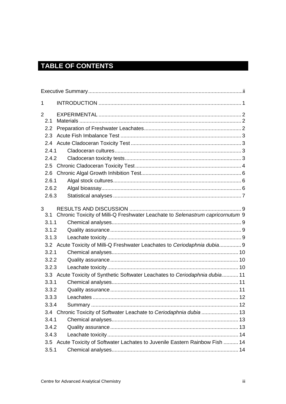# TABLE OF CONTENTS

| 1                     |                                                                                |  |
|-----------------------|--------------------------------------------------------------------------------|--|
| $\overline{2}$<br>2.1 |                                                                                |  |
| $2.2\phantom{0}$      |                                                                                |  |
| 2.3                   |                                                                                |  |
|                       |                                                                                |  |
| 2.4.1                 |                                                                                |  |
| 2.4.2                 |                                                                                |  |
|                       |                                                                                |  |
| 2.6                   |                                                                                |  |
| 2.6.1                 |                                                                                |  |
| 2.6.2                 |                                                                                |  |
| 2.6.3                 |                                                                                |  |
| 3<br>3.1              | Chronic Toxicity of Milli-Q Freshwater Leachate to Selenastrum capricornutum 9 |  |
| 3.1.1                 |                                                                                |  |
| 3.1.2                 |                                                                                |  |
| 3.1.3                 |                                                                                |  |
|                       | 3.2 Acute Toxicity of Milli-Q Freshwater Leachates to Ceriodaphnia dubia 9     |  |
| 3.2.1                 |                                                                                |  |
| 3.2.2                 |                                                                                |  |
| 3.2.3                 |                                                                                |  |
|                       | 3.3 Acute Toxicity of Synthetic Softwater Leachates to Ceriodaphnia dubia 11   |  |
| 3.3.1                 |                                                                                |  |
| 3.3.2                 |                                                                                |  |
| 3.3.3                 |                                                                                |  |
| 3.3.4                 |                                                                                |  |
|                       | 3.4 Chronic Toxicity of Softwater Leachate to Ceriodaphnia dubia  13           |  |
| 3.4.1                 |                                                                                |  |
| 3.4.2                 |                                                                                |  |
| 3.4.3                 |                                                                                |  |
|                       | 3.5 Acute Toxicity of Softwater Lachates to Juvenile Eastern Rainbow Fish  14  |  |
| 3.5.1                 |                                                                                |  |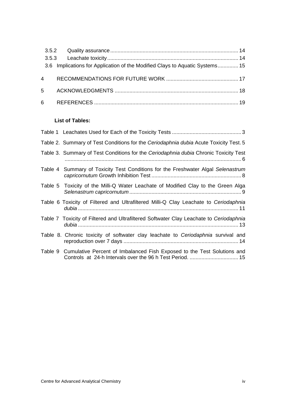| 3.6 Implications for Application of the Modified Clays to Aquatic Systems 15 |  |
|------------------------------------------------------------------------------|--|
|                                                                              |  |
|                                                                              |  |
|                                                                              |  |

## **List of Tables:**

| Table 2. Summary of Test Conditions for the Ceriodaphnia dubia Acute Toxicity Test. 5                                                        |
|----------------------------------------------------------------------------------------------------------------------------------------------|
| Table 3. Summary of Test Conditions for the Ceriodaphnia dubia Chronic Toxicity Test                                                         |
| Table 4 Summary of Toxicity Test Conditions for the Freshwater Algal Selenastrum                                                             |
| Table 5 Toxicity of the Milli-Q Water Leachate of Modified Clay to the Green Alga                                                            |
| Table 6 Toxicity of Filtered and Ultrafiltered Milli-Q Clay Leachate to Ceriodaphnia                                                         |
| Table 7 Toxicity of Filtered and Ultrafiltered Softwater Clay Leachate to Ceriodaphnia                                                       |
| Table 8. Chronic toxicity of softwater clay leachate to Ceriodaphnia survival and                                                            |
| Table 9 Cumulative Percent of Imbalanced Fish Exposed to the Test Solutions and<br>Controls at 24-h Intervals over the 96 h Test Period.  15 |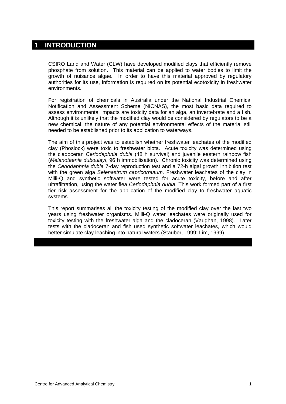## <span id="page-4-0"></span>**1 INTRODUCTION**

CSIRO Land and Water (CLW) have developed modified clays that efficiently remove phosphate from solution. This material can be applied to water bodies to limit the growth of nuisance algae. In order to have this material approved by regulatory authorities for its use, information is required on its potential ecotoxicity in freshwater environments.

For registration of chemicals in Australia under the National Industrial Chemical Notification and Assessment Scheme (NICNAS), the most basic data required to assess environmental impacts are toxicity data for an alga, an invertebrate and a fish. Although it is unlikely that the modified clay would be considered by regulators to be a new chemical, the nature of any potential environmental effects of the material still needed to be established prior to its application to waterways.

The aim of this project was to establish whether freshwater leachates of the modified clay (Phoslock) were toxic to freshwater biota. Acute toxicity was determined using the cladoceran *Ceriodaphnia dubia* (48 h survival) and juvenile eastern rainbow fish (*Melanotaenia duboulayi*, 96 h immobilisation). Chronic toxicity was determined using the *Ceriodaphnia dubia* 7-day reproduction test and a 72-h algal growth inhibition test with the green alga *Selenastrum capricornutum*. Freshwater leachates of the clay in Milli-Q and synthetic softwater were tested for acute toxicity, before and after ultrafiltration, using the water flea *Ceriodaphnia dubia*. This work formed part of a first tier risk assessment for the application of the modified clay to freshwater aquatic systems.

This report summarises all the toxicity testing of the modified clay over the last two years using freshwater organisms. Milli-Q water leachates were originally used for toxicity testing with the freshwater alga and the cladoceran (Vaughan, 1998). Later tests with the cladoceran and fish used synthetic softwater leachates, which would better simulate clay leaching into natural waters (Stauber, 1999; Lim, 1999).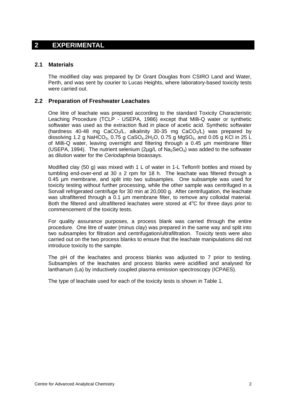## <span id="page-5-0"></span>**2 EXPERIMENTAL**

#### **2.1 Materials**

The modified clay was prepared by Dr Grant Douglas from CSIRO Land and Water, Perth, and was sent by courier to Lucas Heights, where laboratory-based toxicity tests were carried out.

### **2.2 Preparation of Freshwater Leachates**

One litre of leachate was prepared according to the standard Toxicity Characteristic Leaching Procedure (TCLP - USEPA, 1986) except that Milli-Q water or synthetic softwater was used as the extraction fluid in place of acetic acid. Synthetic softwater (hardness 40-48 mg CaCO<sub>3</sub>/L, alkalinity 30-35 mg CaCO<sub>3</sub>/L) was prepared by dissolving 1.2 g NaHCO<sub>3</sub>, 0.75 g CaSO<sub>4</sub>.2H<sub>2</sub>O, 0.75 g MgSO<sub>4</sub>, and 0.05 g KCl in 25 L of Milli-Q water, leaving overnight and filtering through a 0.45 µm membrane filter (USEPA, 1994). The nutrient selenium (2µg/L of  $Na<sub>2</sub>SeO<sub>4</sub>$ ) was added to the softwater as dilution water for the *Ceriodaphnia* bioassays.

Modified clay (50 g) was mixed with 1 L of water in 1-L Teflon® bottles and mixed by tumbling end-over-end at 30  $\pm$  2 rpm for 18 h. The leachate was filtered through a 0.45 µm membrane, and split into two subsamples. One subsample was used for toxicity testing without further processing, while the other sample was centrifuged in a Sorvall refrigerated centrifuge for 30 min at 20,000 g. After centrifugation, the leachate was ultrafiltered through a 0.1 µm membrane filter, to remove any colloidal material. Both the filtered and ultrafiltered leachates were stored at  $4^{\circ}$ C for three days prior to commencement of the toxicity tests.

For quality assurance purposes, a process blank was carried through the entire procedure. One litre of water (minus clay) was prepared in the same way and split into two subsamples for filtration and centrifugation/ultrafiltration. Toxicity tests were also carried out on the two process blanks to ensure that the leachate manipulations did not introduce toxicity to the sample.

The pH of the leachates and process blanks was adjusted to 7 prior to testing. Subsamples of the leachates and process blanks were acidified and analysed for lanthanum (La) by inductively coupled plasma emission spectroscopy (ICPAES).

The type of leachate used for each of the toxicity tests is shown in Table 1.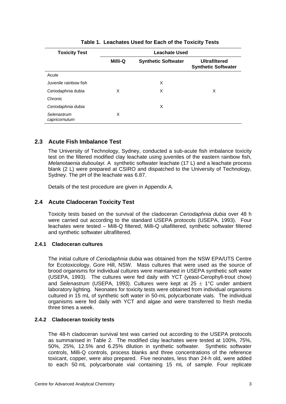<span id="page-6-0"></span>

| <b>Toxicity Test</b>         | <b>Leachate Used</b> |                            |                                                    |  |
|------------------------------|----------------------|----------------------------|----------------------------------------------------|--|
|                              | Milli-Q              | <b>Synthetic Softwater</b> | <b>Ultrafiltered</b><br><b>Synthetic Softwater</b> |  |
| Acute                        |                      |                            |                                                    |  |
| Juvenile rainbow fish        |                      | X                          |                                                    |  |
| Ceriodaphnia dubia           | X                    | X                          | X                                                  |  |
| Chronic                      |                      |                            |                                                    |  |
| Ceriodaphnia dubia           |                      | X                          |                                                    |  |
| Selenastrum<br>capricornutum | X                    |                            |                                                    |  |

**Table 1. Leachates Used for Each of the Toxicity Tests** 

## **2.3 Acute Fish Imbalance Test**

The University of Technology, Sydney, conducted a sub-acute fish imbalance toxicity test on the filtered modified clay leachate using juveniles of the eastern rainbow fish, *Melanotaenia duboulayi.* A synthetic softwater leachate (17 L) and a leachate process blank (2 L) were prepared at CSIRO and dispatched to the University of Technology, Sydney. The pH of the leachate was 6.87.

Details of the test procedure are given in Appendix A.

## **2.4 Acute Cladoceran Toxicity Test**

Toxicity tests based on the survival of the cladoceran *Ceriodaphnia dubia* over 48 h were carried out according to the standard USEPA protocols (USEPA, 1993). Four leachates were tested – Milli-Q filtered, Milli-Q ultafiltered, synthetic softwater filtered and synthetic softwater ultrafiltered.

## **2.4.1 Cladoceran cultures**

The initial culture of *Ceriodaphnia dubia* was obtained from the NSW EPA/UTS Centre for Ecotoxicology, Gore Hill, NSW. Mass cultures that were used as the source of brood organisms for individual cultures were maintained in USEPA synthetic soft water (USEPA, 1993). The cultures were fed daily with YCT (yeast-Cerophyll-trout chow) and *Selenastrum* (USEPA, 1993). Cultures were kept at 25 ± 1°C under ambient laboratory lighting. Neonates for toxicity tests were obtained from individual organisms cultured in 15 mL of synthetic soft water in 50-mL polycarbonate vials. The individual organisms were fed daily with YCT and algae and were transferred to fresh media three times a week.

#### **2.4.2 Cladoceran toxicity tests**

The 48-h cladoceran survival test was carried out according to the USEPA protocols as summarised in [Table 2](#page-8-1). The modified clay leachates were tested at 100%, 75%, 50%, 25%, 12.5% and 6.25% dilution in synthetic softwater. Synthetic softwater controls, Milli-Q controls, process blanks and three concentrations of the reference toxicant, copper, were also prepared. Five neonates, less than 24-h old, were added to each 50 mL polycarbonate vial containing 15 mL of sample. Four replicate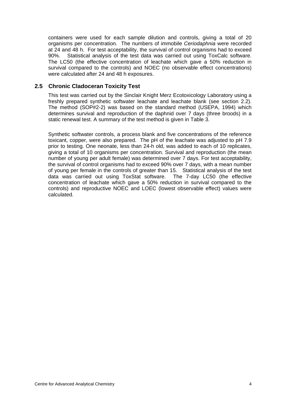<span id="page-7-0"></span>containers were used for each sample dilution and controls, giving a total of 20 organisms per concentration. The numbers of immobile *Ceriodaphnia* were recorded at 24 and 48 h. For test acceptability, the survival of control organisms had to exceed 90%. Statistical analysis of the test data was carried out using ToxCalc software. The LC50 (the effective concentration of leachate which gave a 50% reduction in survival compared to the controls) and NOEC (no observable effect concentrations) were calculated after 24 and 48 h exposures.

## **2.5 Chronic Cladoceran Toxicity Test**

This test was carried out by the Sinclair Knight Merz Ecotoxicology Laboratory using a freshly prepared synthetic softwater leachate and leachate blank (see section 2.2). The method (SOP#2-2) was based on the standard method (USEPA, 1994) which determines survival and reproduction of the daphnid over 7 days (three broods) in a static renewal test. A summary of the test method is given in Table 3.

Synthetic softwater controls, a process blank and five concentrations of the reference toxicant, copper, were also prepared. The pH of the leachate was adjusted to pH 7.9 prior to testing. One neonate, less than 24-h old, was added to each of 10 replicates, giving a total of 10 organisms per concentration. Survival and reproduction (the mean number of young per adult female) was determined over 7 days. For test acceptability, the survival of control organisms had to exceed 90% over 7 days, with a mean number of young per female in the controls of greater than 15. Statistical analysis of the test data was carried out using ToxStat software. The 7-day LC50 (the effective concentration of leachate which gave a 50% reduction in survival compared to the controls) and reproductive NOEC and LOEC (lowest observable effect) values were calculated.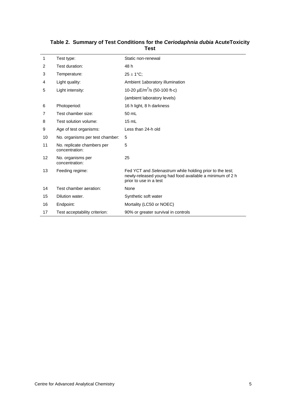<span id="page-8-1"></span>

| 1  | Test type:                                   | Static non-renewal                                                                                                                             |
|----|----------------------------------------------|------------------------------------------------------------------------------------------------------------------------------------------------|
| 2  | Test duration:                               | 48 h                                                                                                                                           |
| 3  | Temperature:                                 | $25 \pm 1^{\circ}$ C;                                                                                                                          |
| 4  | Light quality:                               | Ambient 1aboratory illumination                                                                                                                |
| 5  | Light intensity:                             | 10-20 $\mu$ E/m <sup>2</sup> /s (50-100 ft-c)                                                                                                  |
|    |                                              | (ambient laboratory levels)                                                                                                                    |
| 6  | Photoperiod:                                 | 16 h light, 8 h darkness                                                                                                                       |
| 7  | Test chamber size:                           | 50 mL                                                                                                                                          |
| 8  | Test solution volume:                        | 15 mL                                                                                                                                          |
| 9  | Age of test organisms:                       | Less than 24-h old                                                                                                                             |
| 10 | No. organisms per test chamber:              | 5                                                                                                                                              |
| 11 | No. replicate chambers per<br>concentration: | 5                                                                                                                                              |
| 12 | No. organisms per<br>concentration:          | 25                                                                                                                                             |
| 13 | Feeding regime:                              | Fed YCT and Selenastrum while holding prior to the test;<br>newly-released young had food available a minimum of 2 h<br>prior to use in a test |
| 14 | Test chamber aeration:                       | None                                                                                                                                           |
| 15 | Dilution water.                              | Synthetic soft water                                                                                                                           |
| 16 | Endpoint:                                    | Mortality (LC50 or NOEC)                                                                                                                       |
| 17 | Test acceptability criterion:                | 90% or greater survival in controls                                                                                                            |

<span id="page-8-0"></span>**Table 2. Summary of Test Conditions for the** *Ceriodaphnia dubia* **AcuteToxicity Test**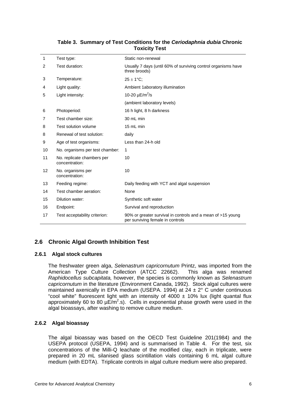<span id="page-9-0"></span>

| 1              | Test type:                                   | Static non-renewal                                                                              |
|----------------|----------------------------------------------|-------------------------------------------------------------------------------------------------|
| $\overline{2}$ | Test duration:                               | Usually 7 days (until 60% of surviving control organisms have<br>three broods)                  |
| 3              | Temperature:                                 | $25 \pm 1^{\circ}$ C;                                                                           |
| 4              | Light quality:                               | Ambient 1aboratory illumination                                                                 |
| 5              | Light intensity:                             | 10-20 $\mu$ E/m <sup>2</sup> /s                                                                 |
|                |                                              | (ambient laboratory levels)                                                                     |
| 6              | Photoperiod:                                 | 16 h light, 8 h darkness                                                                        |
| 7              | Test chamber size:                           | 30 mL min                                                                                       |
| 8              | Test solution volume                         | 15 mL min                                                                                       |
| 8              | Renewal of test solution:                    | daily                                                                                           |
| 9              | Age of test organisms:                       | Less than 24-h old                                                                              |
| 10             | No. organisms per test chamber:              | 1                                                                                               |
| 11             | No. replicate chambers per<br>concentration: | 10                                                                                              |
| 12             | No. organisms per<br>concentration:          | 10                                                                                              |
| 13             | Feeding regime:                              | Daily feeding with YCT and algal suspension                                                     |
| 14             | Test chamber aeration:                       | None                                                                                            |
| 15             | Dilution water:                              | Synthetic soft water                                                                            |
| 16             | Endpoint:                                    | Survival and reproduction                                                                       |
| 17             | Test acceptability criterion:                | 90% or greater survival in controls and a mean of >15 young<br>per surviving female in controls |

### **Table 3. Summary of Test Conditions for the** *Ceriodaphnia dubia* **Chronic Toxicity Test**

## **2.6 Chronic Algal Growth Inhibition Test**

#### **2.6.1 Algal stock cultures**

The freshwater green alga, *Selenastrum capricornutum* Printz, was imported from the American Type Culture Collection (ATCC 22662). This alga was renamed *Raphidocellus subcapitata,* however, the species is commonly known as *Selenastrum capricornutum* in the literature (Environment Canada, 1992). Stock algal cultures were maintained axenically in EPA medium (USEPA. 1994) at  $24 \pm 2^{\circ}$  C under continuous "cool white" fluorescent light with an intensity of  $4000 \pm 10\%$  lux (light quantal flux approximately 60 to 80  $\mu \bar{E}/m^2$ .s). Cells in exponential phase growth were used in the algal bioassays, after washing to remove culture medium.

#### **2.6.2 Algal bioassay**

The algal bioassay was based on the OECD Test Guideline 201(1984) and the USEPA protocol (USEPA, 1994) and is summarised in Table 4. For the test, six concentrations of the Milli-Q leachate of the modified clay, each in triplicate, were prepared in 20 mL silanised glass scintillation vials containing 6 mL algal culture medium (with EDTA). Triplicate controls in algal culture medium were also prepared.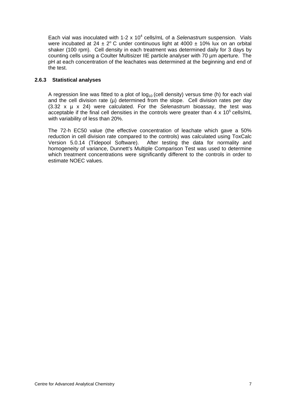<span id="page-10-0"></span>Each vial was inoculated with 1-2 x 10<sup>4</sup> cells/mL of a Selenastrum suspension. Vials were incubated at  $24 \pm 2^{\circ}$  C under continuous light at 4000  $\pm$  10% lux on an orbital shaker (100 rpm). Cell density in each treatment was determined daily for 3 days by counting cells using a Coulter Multisizer IIE particle analyser with 70 µm aperture. The pH at each concentration of the leachates was determined at the beginning and end of the test.

#### **2.6.3 Statistical analyses**

A regression line was fitted to a plot of  $log_{10}$  (cell density) versus time (h) for each vial and the cell division rate  $(\mu)$  determined from the slope. Cell division rates per day (3.32 x µ x 24) were calculated. For the *Selenastrum* bioassay, the test was acceptable if the final cell densities in the controls were greater than  $4 \times 10^5$  cells/mL with variability of less than 20%.

The 72-h EC50 value (the effective concentration of leachate which gave a 50% reduction in cell division rate compared to the controls) was calculated using ToxCalc Version 5.0.14 (Tidepool Software). After testing the data for normality and homogeneity of variance, Dunnett's Multiple Comparison Test was used to determine which treatment concentrations were significantly different to the controls in order to estimate NOEC values.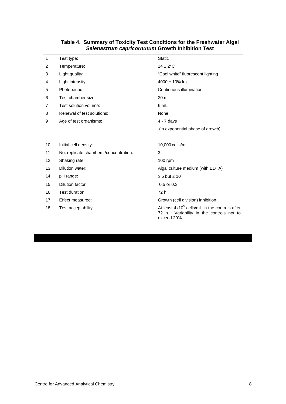<span id="page-11-0"></span>

| 1  | Test type:                              | <b>Static</b>                                                                                                 |
|----|-----------------------------------------|---------------------------------------------------------------------------------------------------------------|
| 2  | Temperature:                            | $24 \pm 2$ °C                                                                                                 |
| 3  | Light quality:                          | "Cool white" fluorescent lighting                                                                             |
| 4  | Light intensity:                        | 4000 ± 10% lux                                                                                                |
| 5  | Photoperiod:                            | Continuous illumination                                                                                       |
| 6  | Test chamber size:                      | 20 mL                                                                                                         |
| 7  | Test solution volume:                   | 6 mL                                                                                                          |
| 8  | Renewal of test solutions:              | None                                                                                                          |
| 9  | Age of test organisms:                  | $4 - 7$ days                                                                                                  |
|    |                                         | (in exponential phase of growth)                                                                              |
|    |                                         |                                                                                                               |
| 10 | Initial cell density:                   | 10,000 cells/mL                                                                                               |
| 11 | No. replicate chambers / concentration: | 3                                                                                                             |
| 12 | Shaking rate:                           | $100$ rpm                                                                                                     |
| 13 | Dilution water:                         | Algal culture medium (with EDTA)                                                                              |
| 14 | pH range:                               | $\geq$ 5 but $\leq$ 10                                                                                        |
| 15 | Dilution factor:                        | $0.5$ or $0.3$                                                                                                |
| 16 | Test duration:                          | 72 h                                                                                                          |
| 17 | Effect measured:                        | Growth (cell division) inhibition                                                                             |
| 18 | Test acceptability:                     | At least $4x105$ cells/mL in the controls after<br>Variability in the controls not to<br>72 h.<br>exceed 20%. |

#### **Table 4. Summary of Toxicity Test Conditions for the Freshwater Algal**  *Selenastrum capricornutum* **Growth Inhibition Test**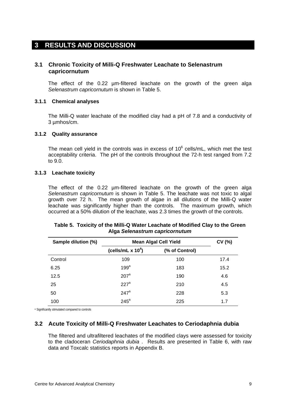## <span id="page-12-0"></span>**3 RESULTS AND DISCUSSION**

## **3.1 Chronic Toxicity of Milli-Q Freshwater Leachate to Selenastrum capricornutum**

The effect of the 0.22 µm-filtered leachate on the growth of the green alga *Selenastrum capricornutum* is shown in Table 5.

#### **3.1.1 Chemical analyses**

The Milli-Q water leachate of the modified clay had a pH of 7.8 and a conductivity of 3 µmhos/cm.

#### **3.1.2 Quality assurance**

The mean cell yield in the controls was in excess of  $10^6$  cells/mL, which met the test acceptability criteria. The pH of the controls throughout the 72-h test ranged from 7.2 to 9.0.

#### **3.1.3 Leachate toxicity**

The effect of the 0.22 um-filtered leachate on the growth of the green alga *Selenastrum capricornutum* is shown in Table 5. The leachate was not toxic to algal growth over 72 h. The mean growth of algae in all dilutions of the Milli-Q water leachate was significantly higher than the controls. The maximum growth, which occurred at a 50% dilution of the leachate, was 2.3 times the growth of the controls.

| Sample dilution (%) | <b>Mean Algal Cell Yield</b> | CV(%)          |      |
|---------------------|------------------------------|----------------|------|
|                     | (cells/mL $x 104$ )          | (% of Control) |      |
| Control             | 109                          | 100            | 17.4 |
| 6.25                | 199 <sup>a</sup>             | 183            | 15.2 |
| 12.5                | $207^a$                      | 190            | 4.6  |
| 25                  | 227 <sup>a</sup>             | 210            | 4.5  |
| 50                  | $247^a$                      | 228            | 5.3  |
| 100                 | $245^a$                      | 225            | 1.7  |

#### **Table 5. Toxicity of the Milli-Q Water Leachate of Modified Clay to the Green Alga** *Selenastrum capricornutum*

a Significantly stimulated compared to controls

#### **3.2 Acute Toxicity of Milli-Q Freshwater Leachates to Ceriodaphnia dubia**

The filtered and ultrafiltered leachates of the modified clays were assessed for toxicity to the cladoceran *Ceriodaphnia dubia* . Results are presented in Table 6, with raw data and Toxcalc statistics reports in Appendix B.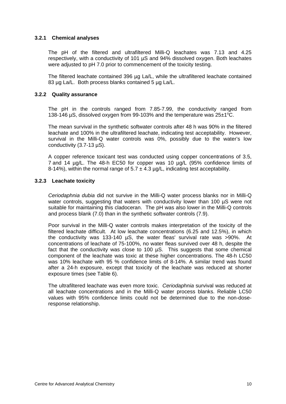#### <span id="page-13-0"></span>**3.2.1 Chemical analyses**

The pH of the filtered and ultrafiltered Milli-Q leachates was 7.13 and 4.25 respectively, with a conductivity of 101 µS and 94% dissolved oxygen. Both leachates were adjusted to pH 7.0 prior to commencement of the toxicity testing.

The filtered leachate contained 396 µg La/L, while the ultrafiltered leachate contained 83 µg La/L. Both process blanks contained 5 µg La/L.

#### **3.2.2 Quality assurance**

The pH in the controls ranged from 7.85-7.99, the conductivity ranged from 138-146  $\mu$ S, dissolved oxygen from 99-103% and the temperature was 25 $\pm$ 1°C.

The mean survival in the synthetic softwater controls after 48 h was 90% in the filtered leachate and 100% in the ultrafiltered leachate, indicating test acceptability. However, survival in the Milli-Q water controls was 0%, possibly due to the water's low conductivity (3.7-13 µS).

A copper reference toxicant test was conducted using copper concentrations of 3.5, 7 and 14 µg/L. The 48-h EC50 for copper was 10 µg/L (95% confidence limits of 8-14%), within the normal range of  $5.7 \pm 4.3$  µg/L, indicating test acceptability.

#### **3.2.3 Leachate toxicity**

*Ceriodaphnia dubia* did not survive in the Milli-Q water process blanks nor in Milli-Q water controls, suggesting that waters with conductivity lower than 100 µS were not suitable for maintaining this cladoceran. The pH was also lower in the Milli-Q controls and process blank (7.0) than in the synthetic softwater controls (7.9).

Poor survival in the Milli-Q water controls makes interpretation of the toxicity of the filtered leachate difficult. At low leachate concentrations (6.25 and 12.5%), in which the conductivity was 133-140 µS, the water fleas' survival rate was >90%. At concentrations of leachate of 75-100%, no water fleas survived over 48 h, despite the fact that the conductivity was close to 100 µS. This suggests that some chemical component of the leachate was toxic at these higher concentrations. The 48-h LC50 was 10% leachate with 95 % confidence limits of 8-14%. A similar trend was found after a 24-h exposure, except that toxicity of the leachate was reduced at shorter exposure times (see Table 6).

The ultrafiltered leachate was even more toxic. *Ceriodaphnia* survival was reduced at all leachate concentrations and in the Milli-Q water process blanks. Reliable LC50 values with 95% confidence limits could not be determined due to the non-doseresponse relationship.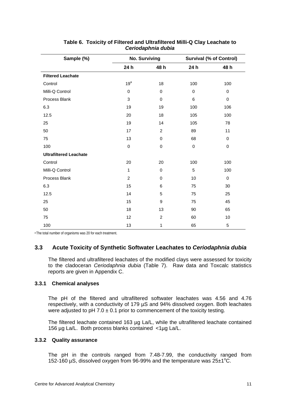<span id="page-14-0"></span>

| Sample (%)                    | <b>No. Surviving</b> |                | <b>Survival (% of Control)</b> |             |
|-------------------------------|----------------------|----------------|--------------------------------|-------------|
|                               | 24 h                 | 48 h           | 24 h                           | 48 h        |
| <b>Filtered Leachate</b>      |                      |                |                                |             |
| Control                       | 19 <sup>a</sup>      | 18             | 100                            | 100         |
| Milli-Q Control               | $\pmb{0}$            | 0              | 0                              | 0           |
| Process Blank                 | 3                    | $\mathbf 0$    | 6                              | $\pmb{0}$   |
| 6.3                           | 19                   | 19             | 100                            | 106         |
| 12.5                          | 20                   | 18             | 105                            | 100         |
| 25                            | 19                   | 14             | 105                            | 78          |
| 50                            | 17                   | $\overline{2}$ | 89                             | 11          |
| 75                            | 13                   | 0              | 68                             | $\mathbf 0$ |
| 100                           | $\pmb{0}$            | $\mathbf 0$    | $\pmb{0}$                      | $\pmb{0}$   |
| <b>Ultrafiltered Leachate</b> |                      |                |                                |             |
| Control                       | 20                   | 20             | 100                            | 100         |
| Milli-Q Control               | 1                    | $\mathbf 0$    | 5                              | 100         |
| Process Blank                 | $\overline{2}$       | 0              | 10                             | $\mathbf 0$ |
| 6.3                           | 15                   | 6              | 75                             | 30          |
| 12.5                          | 14                   | 5              | 75                             | 25          |
| 25                            | 15                   | 9              | 75                             | 45          |
| 50                            | 18                   | 13             | 90                             | 65          |
| 75                            | 12                   | $\overline{c}$ | 60                             | 10          |
| 100                           | 13                   | 1              | 65                             | 5           |

| Table 6. Toxicity of Filtered and Ultrafiltered Milli-Q Clay Leachate to |
|--------------------------------------------------------------------------|
| Ceriodaphnia dubia                                                       |

<sup>a</sup> The total number of organisms was 20 for each treatment.

## **3.3 Acute Toxicity of Synthetic Softwater Leachates to** *Ceriodaphnia dubia*

The filtered and ultrafiltered leachates of the modified clays were assessed for toxicity to the cladoceran *Ceriodaphnia dubia* (Table 7). Raw data and Toxcalc statistics reports are given in Appendix C.

#### **3.3.1 Chemical analyses**

The pH of the filtered and ultrafiltered softwater leachates was 4.56 and 4.76 respectively, with a conductivity of 179 µS and 94% dissolved oxygen. Both leachates were adjusted to pH 7.0  $\pm$  0.1 prior to commencement of the toxicity testing.

The filtered leachate contained 163 µg La/L, while the ultrafiltered leachate contained 156 µg La/L. Both process blanks contained <1µg La/L.

#### **3.3.2 Quality assurance**

The pH in the controls ranged from 7.48-7.99, the conductivity ranged from 152-160 µS, dissolved oxygen from 96-99% and the temperature was  $25±1^{\circ}$ C.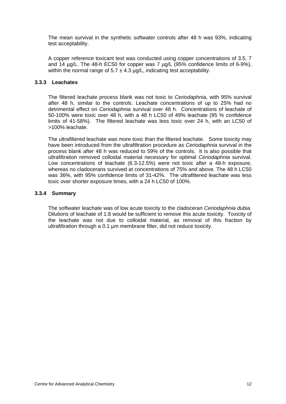<span id="page-15-0"></span>The mean survival in the synthetic softwater controls after 48 h was 93%, indicating test acceptability.

A copper reference toxicant test was conducted using copper concentrations of 3.5, 7 and 14 µg/L. The 48-h EC50 for copper was 7 µg/L (95% confidence limits of 6-9%), within the normal range of  $5.7 \pm 4.3$   $\mu$ g/L, indicating test acceptability.

#### **3.3.3 Leachates**

The filtered leachate process blank was not toxic to *Ceriodaphnia*, with 95% survival after 48 h, similar to the controls. Leachate concentrations of up to 25% had no detrimental effect on *Ceriodaphnia* survival over 48 h. Concentrations of leachate of 50-100% were toxic over 48 h, with a 48 h LC50 of 49% leachate (95 % confidence limits of 41-58%). The filtered leachate was less toxic over 24 h, with an LC50 of >100% leachate.

The ultrafiltered leachate was more toxic than the filtered leachate. Some toxicity may have been introduced from the ultrafiltration procedure as *Ceriodaphnia* survival in the process blank after 48 h was reduced to 59% of the controls. It is also possible that ultrafiltration removed colloidal material necessary for optimal *Ceriodaphnia* survival. Low concentrations of leachate (6.3-12.5%) were not toxic after a 48-h exposure, whereas no cladocerans survived at concentrations of 75% and above. The 48 h LC50 was 36%, with 95% confidence limits of 31-42%. The ultrafiltered leachate was less toxic over shorter exposure times, with a 24 h LC50 of 100%.

#### **3.3.4 Summary**

The softwater leachate was of low acute toxicity to the cladoceran *Ceriodaphnia dubia.*  Dilutions of leachate of 1:8 would be sufficient to remove this acute toxicity. Toxicity of the leachate was not due to colloidal material, as removal of this fraction by ultrafiltration through a 0.1 µm membrane filter, did not reduce toxicity.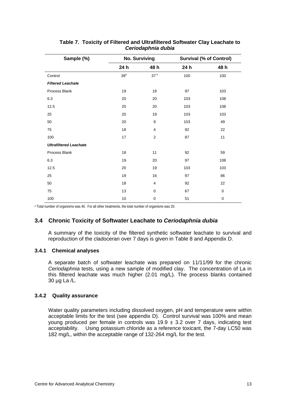<span id="page-16-0"></span>

| Sample (%)                    | <b>No. Surviving</b> |                 | <b>Survival (% of Control)</b> |             |
|-------------------------------|----------------------|-----------------|--------------------------------|-------------|
|                               | 24 h                 | 48 h            | 24 h                           | 48 h        |
| Control                       | $39^a$               | 37 <sup>a</sup> | 100                            | 100         |
| <b>Filtered Leachate</b>      |                      |                 |                                |             |
| Process Blank                 | 19                   | 19              | 97                             | 103         |
| 6.3                           | 20                   | 20              | 103                            | 108         |
| 12.5                          | 20                   | 20              | 103                            | 108         |
| 25                            | 20                   | 19              | 103                            | 103         |
| 50                            | 20                   | 9               | 103                            | 49          |
| 75                            | 18                   | 4               | 92                             | 22          |
| 100                           | 17                   | $\overline{2}$  | 87                             | 11          |
| <b>Ultrafiltered Leachate</b> |                      |                 |                                |             |
| Process Blank                 | 18                   | 11              | 92                             | 59          |
| 6.3                           | 19                   | 20              | 97                             | 108         |
| 12.5                          | 20                   | 19              | 103                            | 103         |
| 25                            | 19                   | 16              | 97                             | 86          |
| 50                            | 18                   | $\overline{4}$  | 92                             | 22          |
| 75                            | 13                   | $\mathbf 0$     | 67                             | $\mathbf 0$ |
| 100                           | 10                   | $\pmb{0}$       | 51                             | $\mathbf 0$ |

#### **Table 7. Toxicity of Filtered and Ultrafiltered Softwater Clay Leachate to**  *Ceriodaphnia dubia*

<sup>a</sup> Total number of organisms was 40. For all other treatments, the total number of organisms was 20.

## **3.4 Chronic Toxicity of Softwater Leachate to** *Ceriodaphnia dubia*

A summary of the toxicity of the filtered synthetic softwater leachate to survival and reproduction of the cladoceran over 7 days is given in Table 8 and Appendix D.

#### **3.4.1 Chemical analyses**

A separate batch of softwater leachate was prepared on 11/11/99 for the chronic *Ceriodaphnia* tests, using a new sample of modified clay. The concentration of La in this filtered leachate was much higher (2.01 mg/L). The process blanks contained 30 µg La /L.

#### **3.4.2 Quality assurance**

Water quality parameters including dissolved oxygen, pH and temperature were within acceptable limits for the test (see appendix D). Control survival was 100% and mean young produced per female in controls was  $19.9 \pm 3.2$  over 7 days, indicating test acceptability. Using potassium chloride as a reference toxicant, the 7-day LC50 was 182 mg/L, within the acceptable range of 132-264 mg/L for the test.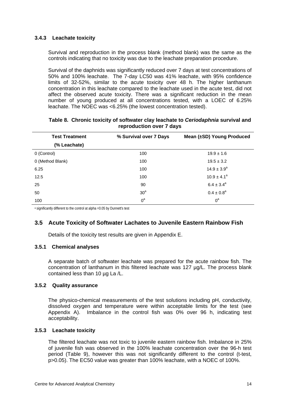## <span id="page-17-0"></span>**3.4.3 Leachate toxicity**

Survival and reproduction in the process blank (method blank) was the same as the controls indicating that no toxicity was due to the leachate preparation procedure.

Survival of the daphnids was significantly reduced over 7 days at test concentrations of 50% and 100% leachate. The 7-day LC50 was 41% leachate, with 95% confidence limits of 32-52%, similar to the acute toxicity over 48 h. The higher lanthanum concentration in this leachate compared to the leachate used in the acute test, did not affect the observed acute toxicity. There was a significant reduction in the mean number of young produced at all concentrations tested, with a LOEC of 6.25% leachate. The NOEC was <6.25% (the lowest concentration tested).

| <b>Test Treatment</b> | % Survival over 7 Days | Mean (±SD) Young Produced |  |
|-----------------------|------------------------|---------------------------|--|
| (% Leachate)          |                        |                           |  |
| 0 (Control)           | 100                    | $19.9 \pm 1.6$            |  |
| 0 (Method Blank)      | 100                    | $19.5 \pm 3.2$            |  |
| 6.25                  | 100                    | $14.9 \pm 3.9^a$          |  |
| 12.5                  | 100                    | $10.9 \pm 4.1^a$          |  |
| 25                    | 90                     | $6.4 \pm 3.4^{\circ}$     |  |
| 50                    | 30 <sup>a</sup>        | $0.4 \pm 0.8^a$           |  |
| 100                   | $0^a$                  | $0^{\rm a}$               |  |

#### **Table 8. Chronic toxicity of softwater clay leachate to** *Ceriodaphnia* **survival and reproduction over 7 days**

a significantly different to the control at alpha =0.05 by Dunnett's test

## **3.5 Acute Toxicity of Softwater Lachates to Juvenile Eastern Rainbow Fish**

Details of the toxicity test results are given in Appendix E.

#### **3.5.1 Chemical analyses**

A separate batch of softwater leachate was prepared for the acute rainbow fish. The concentration of lanthanum in this filtered leachate was 127 µg/L. The process blank contained less than 10 µg La /L.

#### **3.5.2 Quality assurance**

The physico-chemical measurements of the test solutions including pH, conductivity, dissolved oxygen and temperature were within acceptable limits for the test (see Appendix A). Imbalance in the control fish was 0% over 96 h, indicating test acceptability.

#### **3.5.3 Leachate toxicity**

The filtered leachate was not toxic to juvenile eastern rainbow fish. Imbalance in 25% of juvenile fish was observed in the 100% leachate concentration over the 96-h test period (Table 9), however this was not significantly different to the control (t-test, p>0.05). The EC50 value was greater than 100% leachate, with a NOEC of 100%.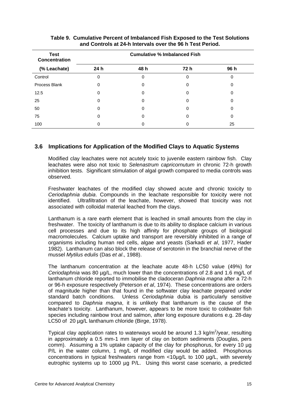<span id="page-18-0"></span>

| <b>Test</b><br><b>Concentration</b> | <b>Cumulative % Imbalanced Fish</b> |      |      |              |
|-------------------------------------|-------------------------------------|------|------|--------------|
| (% Leachate)                        | 24 <sub>h</sub>                     | 48 h | 72 h | 96 h         |
| Control                             | 0                                   | 0    | 0    | 0            |
| Process Blank                       | 0                                   | 0    | 0    | $\mathbf{0}$ |
| 12.5                                | Ω                                   | 0    | 0    |              |
| 25                                  | 0                                   | 0    | 0    | O            |
| 50                                  | 0                                   | 0    | 0    |              |
| 75                                  | 0                                   | 0    | 0    | 0            |
| 100                                 |                                     |      |      | 25           |

### **Table 9. Cumulative Percent of Imbalanced Fish Exposed to the Test Solutions and Controls at 24-h Intervals over the 96 h Test Period.**

## **3.6 Implications for Application of the Modified Clays to Aquatic Systems**

Modified clay leachates were not acutely toxic to juvenile eastern rainbow fish. Clay leachates were also not toxic to *Selenastrum capricornutum* in chronic 72-h growth inhibition tests. Significant stimulation of algal growth compared to media controls was observed.

Freshwater leachates of the modified clay showed acute and chronic toxicity to *Ceriodaphnia dubia*. Compounds in the leachate responsible for toxicity were not identified. Ultrafiltration of the leachate, however, showed that toxicity was not associated with colloidal material leached from the clays.

Lanthanum is a rare earth element that is leached in small amounts from the clay in freshwater. The toxicity of lanthanum is due to its ability to displace calcium in various cell processes and due to its high affinity for phosphate groups of biological macromolecules. Calcium uptake and transport are reversibly inhibited in a range of organisms including human red cells, algae and yeasts (Sarkadi *et al*, 1977, Hader 1982). Lanthanum can also block the release of serotonin in the branchial nerve of the mussel *Mytilus edulis* (Das *et al*., 1988).

The lanthanum concentration at the leachate acute 48-h LC50 value (49%) for *Ceriodaphnia* was 80 µg/L, much lower than the concentrations of 2.8 and 1.6 mg/L of lanthanum chloride reported to immobilise the cladoceran *Daphnia magna* after a 72-h or 96-h exposure respectively (Peterson *et al*, 1974). These concentrations are orders of magnitude higher than that found in the softwater clay leachate prepared under standard batch conditions. Unless *Ceriodaphnia* dubia is particularly sensitive compared to *Daphnia magna*, it is unlikely that lanthanum is the cause of the leachate's toxicity. Lanthanum, however, appears to be more toxic to coldwater fish species including rainbow trout and salmon, after long exposure durations e.g. 28-day LC50 of 20 µg/L lanthanum chloride (Birge, 1978).

Typical clay application rates to waterways would be around 1.3 kg/m<sup>2</sup>/year, resulting in approximately a 0.5 mm-1 mm layer of clay on bottom sediments (Douglas, pers comm). Assuming a 1% uptake capacity of the clay for phosphorus, for every 10 µg P/L in the water column, 1 mg/L of modified clay would be added. Phosphorus concentrations in typical freshwaters range from <10µg/L to 100 µg/L, with severely eutrophic systems up to 1000 µg P/L. Using this worst case scenario, a predicted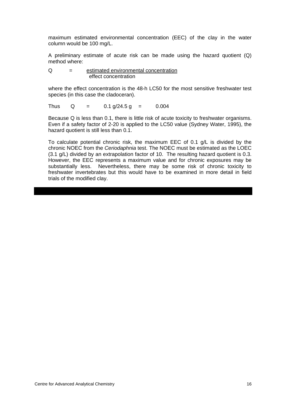maximum estimated environmental concentration (EEC) of the clay in the water column would be 100 mg/L.

A preliminary estimate of acute risk can be made using the hazard quotient (Q) method where:

$$
Q = \underbrace{\text{estimated environmental concentration}}_{\text{effect concentration}}
$$

where the effect concentration is the 48-h LC50 for the most sensitive freshwater test species (in this case the cladoceran).

Thus  $Q = 0.1 g/24.5 g = 0.004$ 

Because Q is less than 0.1, there is little risk of acute toxicity to freshwater organisms. Even if a safety factor of 2-20 is applied to the LC50 value (Sydney Water, 1995), the hazard quotient is still less than 0.1.

To calculate potential chronic risk, the maximum EEC of 0.1 g/L is divided by the chronic NOEC from the *Ceriodaphnia* test. The NOEC must be estimated as the LOEC (3.1 g/L) divided by an extrapolation factor of 10. The resulting hazard quotient is 0.3. However, the EEC represents a maximum value and for chronic exposures may be substantially less. Nevertheless, there may be some risk of chronic toxicity to freshwater invertebrates but this would have to be examined in more detail in field trials of the modified clay.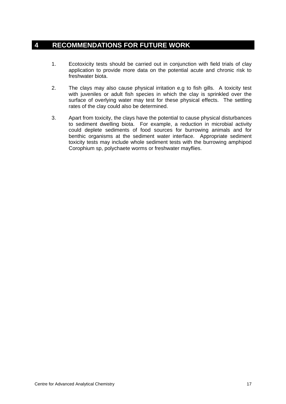# <span id="page-20-0"></span>**4 RECOMMENDATIONS FOR FUTURE WORK**

- 1. Ecotoxicity tests should be carried out in conjunction with field trials of clay application to provide more data on the potential acute and chronic risk to freshwater biota.
- 2. The clays may also cause physical irritation e.g to fish gills. A toxicity test with juveniles or adult fish species in which the clay is sprinkled over the surface of overlying water may test for these physical effects. The settling rates of the clay could also be determined.
- 3. Apart from toxicity, the clays have the potential to cause physical disturbances to sediment dwelling biota. For example, a reduction in microbial activity could deplete sediments of food sources for burrowing animals and for benthic organisms at the sediment water interface. Appropriate sediment toxicity tests may include whole sediment tests with the burrowing amphipod Corophium sp, polychaete worms or freshwater mayflies.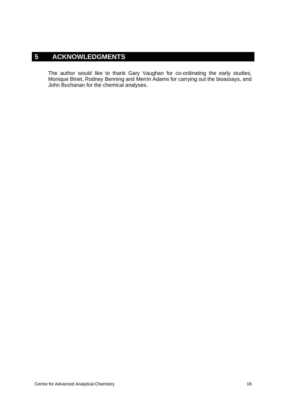# <span id="page-21-0"></span>**5 ACKNOWLEDGMENTS**

The author would like to thank Gary Vaughan for co-ordinating the early studies, Monique Binet, Rodney Benning and Merrin Adams for carrying out the bioassays, and John Buchanan for the chemical analyses.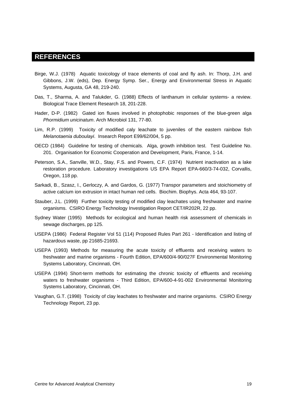## <span id="page-22-0"></span>**REFERENCES**

- Birge, W.J. (1978) Aquatic toxicology of trace elements of coal and fly ash. In: Thorp, J.H. and Gibbons, J.W. (eds), Dep. Energy Symp. Ser., Energy and Environmental Stress in Aquatic Systems, Augusta, GA 48, 219-240.
- Das, T., Sharma, A. and Talukder, G. (1988) Effects of lanthanum in cellular systems- a review. Biological Trace Element Research 18, 201-228.
- Hader, D-P. (1982) Gated ion fluxes involved in photophobic responses of the blue-green alga *Phormidium unicinatum*. Arch Microbiol 131, 77-80.
- Lim, R.P. (1999) Toxicity of modified caly leachate to juveniles of the eastern rainbow fish *Melanotaenia duboulayi*. Insearch Report E99/62/004, 5 pp.
- OECD (1984) Guideline for testing of chemicals. Alga, growth inhibition test. Test Guideline No. 201. Organisation for Economic Cooperation and Development, Paris, France, 1-14.
- Peterson, S.A., Sanville, W.D., Stay, F.S. and Powers, C.F. (1974) Nutrient inactivation as a lake restoration procedure. Laboratory investigations US EPA Report EPA-660/3-74-032, Corvallis, Oregon, 118 pp.
- Sarkadi, B., Szasz, I., Gerloczy, A. and Gardos, G. (1977) Transpor parameters and stoichiometry of active calcium ion extrusion in intact human red cells. Biochim. Biophys. Acta 464, 93-107.
- Stauber, J.L. (1999) Further toxicity testing of modified clay leachates using freshwater and marine organisms. CSIRO Energy Technology Investigation Report CET/IR202R, 22 pp.
- Sydney Water (1995) Methods for ecological and human health risk assessment of chemicals in sewage discharges, pp 125.
- USEPA (1986) Federal Register Vol 51 (114) Proposed Rules Part 261 Identification and listing of hazardous waste, pp 21685-21693.
- USEPA (1993) Methods for measuring the acute toxicity of effluents and receiving waters to freshwater and marine organisms - Fourth Edition, EPA/600/4-90/027F Environmental Monitoring Systems Laboratory, Cincinnati, OH.
- USEPA (1994) Short-term methods for estimating the chronic toxicity of effluents and receiving waters to freshwater organisms - Third Edition, EPA/600-4-91-002 Environmental Monitoring Systems Laboratory, Cincinnati, OH.
- Vaughan, G.T. (1998) Toxicity of clay leachates to freshwater and marine organisms. CSIRO Energy Technology Report, 23 pp.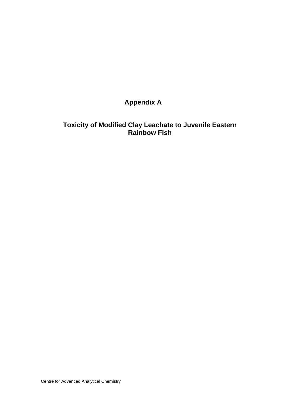# **Appendix A**

# **Toxicity of Modified Clay Leachate to Juvenile Eastern Rainbow Fish**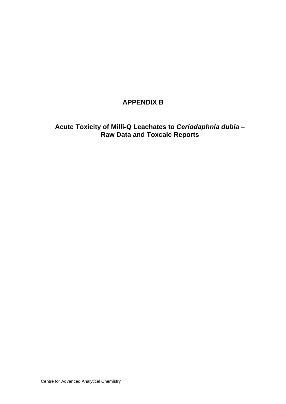# **APPENDIX B**

**Acute Toxicity of Milli-Q Leachates to** *Ceriodaphnia dubia –*  **Raw Data and Toxcalc Reports**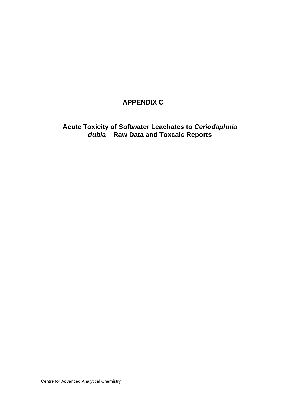# **APPENDIX C**

**Acute Toxicity of Softwater Leachates to** *Ceriodaphnia dubia –* **Raw Data and Toxcalc Reports**